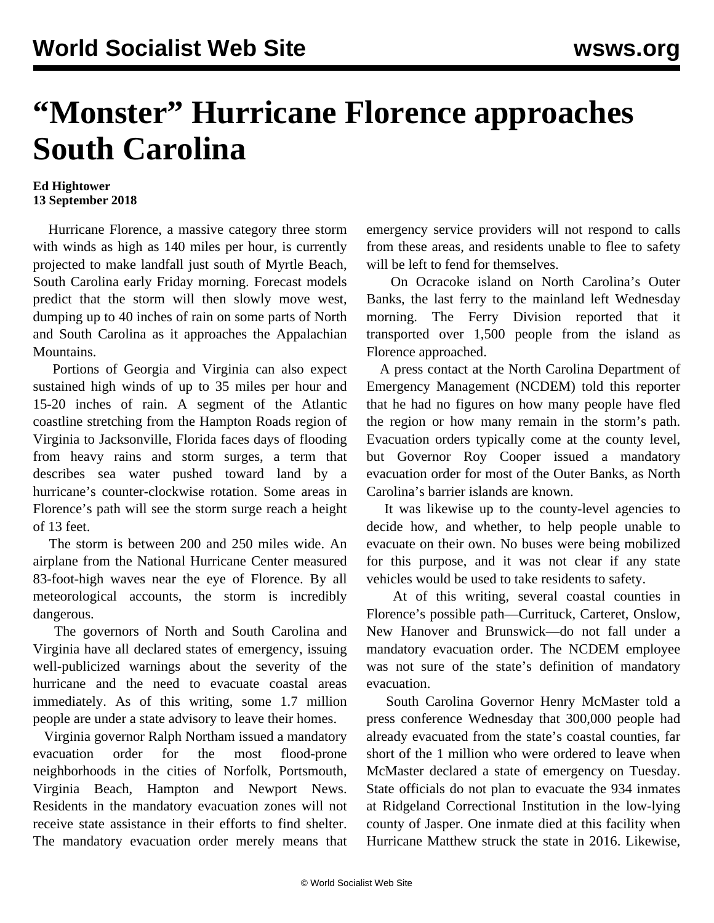## **"Monster" Hurricane Florence approaches South Carolina**

## **Ed Hightower 13 September 2018**

 Hurricane Florence, a massive category three storm with winds as high as 140 miles per hour, is currently projected to make landfall just south of Myrtle Beach, South Carolina early Friday morning. Forecast models predict that the storm will then slowly move west, dumping up to 40 inches of rain on some parts of North and South Carolina as it approaches the Appalachian Mountains.

 Portions of Georgia and Virginia can also expect sustained high winds of up to 35 miles per hour and 15-20 inches of rain. A segment of the Atlantic coastline stretching from the Hampton Roads region of Virginia to Jacksonville, Florida faces days of flooding from heavy rains and storm surges, a term that describes sea water pushed toward land by a hurricane's counter-clockwise rotation. Some areas in Florence's path will see the storm surge reach a height of 13 feet.

 The storm is between 200 and 250 miles wide. An airplane from the National Hurricane Center measured 83-foot-high waves near the eye of Florence. By all meteorological accounts, the storm is incredibly dangerous.

 The governors of North and South Carolina and Virginia have all declared states of emergency, issuing well-publicized warnings about the severity of the hurricane and the need to evacuate coastal areas immediately. As of this writing, some 1.7 million people are under a state advisory to leave their homes.

 Virginia governor Ralph Northam issued a mandatory evacuation order for the most flood-prone neighborhoods in the cities of Norfolk, Portsmouth, Virginia Beach, Hampton and Newport News. Residents in the mandatory evacuation zones will not receive state assistance in their efforts to find shelter. The mandatory evacuation order merely means that emergency service providers will not respond to calls from these areas, and residents unable to flee to safety will be left to fend for themselves.

 On Ocracoke island on North Carolina's Outer Banks, the last ferry to the mainland left Wednesday morning. The Ferry Division reported that it transported over 1,500 people from the island as Florence approached.

 A press contact at the North Carolina Department of Emergency Management (NCDEM) told this reporter that he had no figures on how many people have fled the region or how many remain in the storm's path. Evacuation orders typically come at the county level, but Governor Roy Cooper issued a mandatory evacuation order for most of the Outer Banks, as North Carolina's barrier islands are known.

 It was likewise up to the county-level agencies to decide how, and whether, to help people unable to evacuate on their own. No buses were being mobilized for this purpose, and it was not clear if any state vehicles would be used to take residents to safety.

 At of this writing, several coastal counties in Florence's possible path—Currituck, Carteret, Onslow, New Hanover and Brunswick—do not fall under a mandatory evacuation order. The NCDEM employee was not sure of the state's definition of mandatory evacuation.

 South Carolina Governor Henry McMaster told a press conference Wednesday that 300,000 people had already evacuated from the state's coastal counties, far short of the 1 million who were ordered to leave when McMaster declared a state of emergency on Tuesday. State officials do not plan to evacuate the 934 inmates at Ridgeland Correctional Institution in the low-lying county of Jasper. One inmate died at this facility when Hurricane Matthew struck the state in 2016. Likewise,